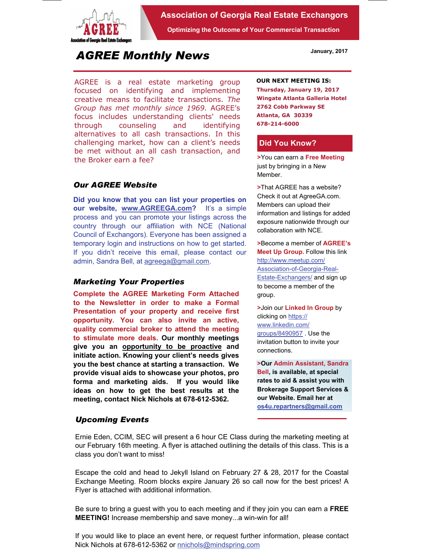

### **Association of Georgia Real Estate Exchangors**

**Optimizing the Outcome of Your Commercial Transaction** 

# *AGREE Monthly News*

AGREE is a real estate marketing group focused on identifying and implementing creative means to facilitate transactions. *The Group has met monthly since 1969.* AGREE's focus includes understanding clients' needs through counseling and identifying alternatives to all cash transactions. In this challenging market, how can a client's needs be met without an all cash transaction, and the Broker earn a fee?

## *Our AGREE Website*

**Did you know that you can list your properties on our website, www.AGREEGA.com?** It's a simple process and you can promote your listings across the country through our affiliation with NCE (National Council of Exchangors). Everyone has been assigned a temporary login and instructions on how to get started. If you didn't receive this email, please contact our admin, Sandra Bell, at agreega@gmail.com.

#### *Marketing Your Properties*

**Complete the AGREE Marketing Form Attached to the Newsletter in order to make a Formal Presentation of your property and receive first opportunity. You can also invite an active, quality commercial broker to attend the meeting to stimulate more deals. Our monthly meetings give you an opportunity to be proactive and initiate action. Knowing your client's needs gives you the best chance at starting a transaction. We provide visual aids to showcase your photos, pro forma and marketing aids. If you would like ideas on how to get the best results at the meeting, contact Nick Nichols at 678-612-5362.** 

#### *Upcoming Events*

#### **OUR NEXT MEETING IS:**

**Thursday, January 19, 2017 Wingate Atlanta Galleria Hotel 2762 Cobb Parkway SE Atlanta, GA 30339 678-214-6000** 

#### **Did You Know?**

**>**You can earn a **Free Meeting**  just by bringing in a New Member.

**>**That AGREE has a website? Check it out at AgreeGA.com. Members can upload their information and listings for added exposure nationwide through our collaboration with NCE.

**>**Become a member of **AGREE's Meet Up Group.** Follow this link http://www.meetup.com/ Association-of-Georgia-Real-Estate-Exchangers/ and sign up to become a member of the group.

**>**Join our **Linked In Group** by clicking on https:// www.linkedin.com/ groups/8490957 . Use the invitation button to invite your connections.

**>Our Admin Assistant, Sandra Bell, is available, at special rates to aid & assist you with Brokerage Support Services & our Website. Email her at os4u.repartners@gmail.com**

Ernie Eden, CCIM, SEC will present a 6 hour CE Class during the marketing meeting at our February 16th meeting. A flyer is attached outlining the details of this class. This is a class you don't want to miss!

Escape the cold and head to Jekyll Island on February 27 & 28, 2017 for the Coastal Exchange Meeting. Room blocks expire January 26 so call now for the best prices! A Flyer is attached with additional information.

Be sure to bring a guest with you to each meeting and if they join you can earn a **FREE MEETING!** Increase membership and save money...a win-win for all!

If you would like to place an event here, or request further information, please contact Nick Nichols at 678-612-5362 or nnichols@mindspring.com

**January, 2017**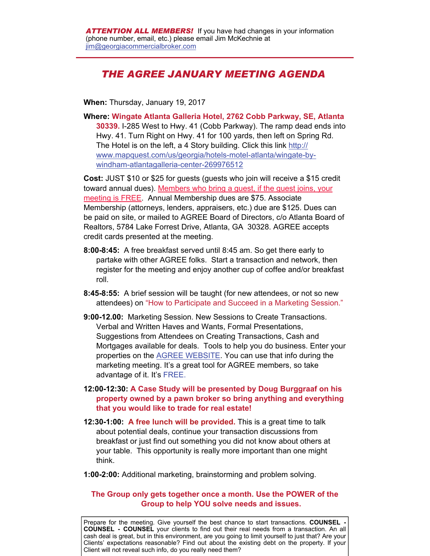# *THE AGREE JANUARY MEETING AGENDA*

**When:** Thursday, January 19, 2017

**Where: Wingate Atlanta Galleria Hotel, 2762 Cobb Parkway, SE, Atlanta 30339.** I-285 West to Hwy. 41 (Cobb Parkway). The ramp dead ends into Hwy. 41. Turn Right on Hwy. 41 for 100 yards, then left on Spring Rd. The Hotel is on the left, a 4 Story building. Click this link http:// www.mapquest.com/us/georgia/hotels-motel-atlanta/wingate-bywindham-atlantagalleria-center-269976512

**Cost:** JUST \$10 or \$25 for guests (guests who join will receive a \$15 credit toward annual dues). Members who bring a guest, if the guest joins, your meeting is FREE. Annual Membership dues are \$75. Associate Membership (attorneys, lenders, appraisers, etc.) due are \$125. Dues can be paid on site, or mailed to AGREE Board of Directors, c/o Atlanta Board of Realtors, 5784 Lake Forrest Drive, Atlanta, GA 30328. AGREE accepts credit cards presented at the meeting.

- **8:00-8:45:** A free breakfast served until 8:45 am. So get there early to partake with other AGREE folks. Start a transaction and network, then register for the meeting and enjoy another cup of coffee and/or breakfast roll.
- **8:45-8:55:** A brief session will be taught (for new attendees, or not so new attendees) on "How to Participate and Succeed in a Marketing Session."
- **9:00-12.00:** Marketing Session. New Sessions to Create Transactions. Verbal and Written Haves and Wants, Formal Presentations, Suggestions from Attendees on Creating Transactions, Cash and Mortgages available for deals. Tools to help you do business. Enter your properties on the AGREE WEBSITE. You can use that info during the marketing meeting. It's a great tool for AGREE members, so take advantage of it. It's FREE.
- **12:00-12:30: A Case Study will be presented by Doug Burggraaf on his property owned by a pawn broker so bring anything and everything that you would like to trade for real estate!**
- **12:30-1:00: A free lunch will be provided.** This is a great time to talk about potential deals, continue your transaction discussions from breakfast or just find out something you did not know about others at your table. This opportunity is really more important than one might think.
- **1:00-2:00:** Additional marketing, brainstorming and problem solving.

### **The Group only gets together once a month. Use the POWER of the Group to help YOU solve needs and issues.**

Prepare for the meeting. Give yourself the best chance to start transactions. **COUNSEL COUNSEL - COUNSEL** your clients to find out their real needs from a transaction. An all cash deal is great, but in this environment, are you going to limit yourself to just that? Are your Clients' expectations reasonable? Find out about the existing debt on the property. If your Client will not reveal such info, do you really need them?